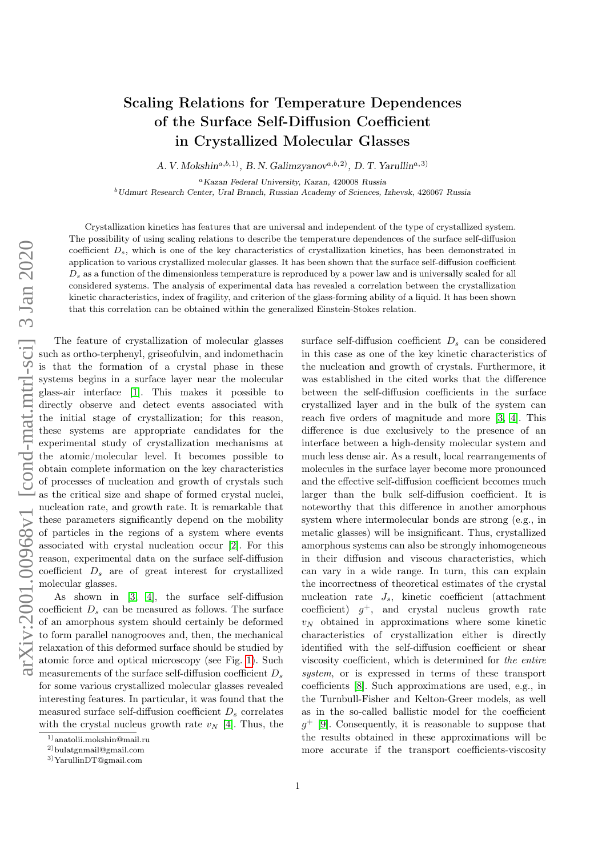## Scaling Relations for Temperature Dependences of the Surface Self-Diffusion Coefficient in Crystallized Molecular Glasses

A. V. Mokshin<sup>a,b,1</sup>, B. N. Galimzyanov<sup> $a,b,2$ </sup>, D. T. Yarullin<sup>a,3)</sup>

Kazan Federal University, Kazan, 420008 Russia

Udmurt Research Center, Ural Branch, Russian Academy of Sciences, Izhevsk, 426067 Russia

Crystallization kinetics has features that are universal and independent of the type of crystallized system. The possibility of using scaling relations to describe the temperature dependences of the surface self-diffusion coefficient  $D_s$ , which is one of the key characteristics of crystallization kinetics, has been demonstrated in application to various crystallized molecular glasses. It has been shown that the surface self-diffusion coefficient  $D<sub>s</sub>$  as a function of the dimensionless temperature is reproduced by a power law and is universally scaled for all considered systems. The analysis of experimental data has revealed a correlation between the crystallization kinetic characteristics, index of fragility, and criterion of the glass-forming ability of a liquid. It has been shown that this correlation can be obtained within the generalized Einstein-Stokes relation.

The feature of crystallization of molecular glasses such as ortho-terphenyl, griseofulvin, and indomethacin is that the formation of a crystal phase in these systems begins in a surface layer near the molecular glass-air interface [\[1\]](#page-4-0). This makes it possible to directly observe and detect events associated with the initial stage of crystallization; for this reason, these systems are appropriate candidates for the experimental study of crystallization mechanisms at the atomic/molecular level. It becomes possible to obtain complete information on the key characteristics of processes of nucleation and growth of crystals such as the critical size and shape of formed crystal nuclei, nucleation rate, and growth rate. It is remarkable that these parameters significantly depend on the mobility of particles in the regions of a system where events associated with crystal nucleation occur [\[2\]](#page-4-1). For this reason, experimental data on the surface self-diffusion coefficient  $D_s$  are of great interest for crystallized molecular glasses.

As shown in [\[3,](#page-4-2) [4\]](#page-4-3), the surface self-diffusion coefficient  $D_s$  can be measured as follows. The surface of an amorphous system should certainly be deformed to form parallel nanogrooves and, then, the mechanical relaxation of this deformed surface should be studied by atomic force and optical microscopy (see Fig. [1\)](#page-1-0). Such measurements of the surface self-diffusion coefficient  $D_s$ for some various crystallized molecular glasses revealed interesting features. In particular, it was found that the measured surface self-diffusion coefficient  $D_s$  correlates with the crystal nucleus growth rate  $v_N$  [\[4\]](#page-4-3). Thus, the surface self-diffusion coefficient  $D<sub>s</sub>$  can be considered in this case as one of the key kinetic characteristics of the nucleation and growth of crystals. Furthermore, it was established in the cited works that the difference between the self-diffusion coefficients in the surface crystallized layer and in the bulk of the system can reach five orders of magnitude and more [\[3,](#page-4-2) [4\]](#page-4-3). This difference is due exclusively to the presence of an interface between a high-density molecular system and much less dense air. As a result, local rearrangements of molecules in the surface layer become more pronounced and the effective self-diffusion coefficient becomes much larger than the bulk self-diffusion coefficient. It is noteworthy that this difference in another amorphous system where intermolecular bonds are strong (e.g., in metalic glasses) will be insignificant. Thus, crystallized amorphous systems can also be strongly inhomogeneous in their diffusion and viscous characteristics, which can vary in a wide range. In turn, this can explain the incorrectness of theoretical estimates of the crystal nucleation rate  $J_s$ , kinetic coefficient (attachment coefficient)  $g^+$ , and crystal nucleus growth rate  $v_N$  obtained in approximations where some kinetic characteristics of crystallization either is directly identified with the self-diffusion coefficient or shear viscosity coefficient, which is determined for the entire system, or is expressed in terms of these transport coefficients [\[8\]](#page-4-4). Such approximations are used, e.g., in the Turnbull-Fisher and Kelton-Greer models, as well as in the so-called ballistic model for the coefficient  $g^+$  [\[9\]](#page-4-5). Consequently, it is reasonable to suppose that the results obtained in these approximations will be more accurate if the transport coefficients-viscosity

<sup>1)</sup>anatolii.mokshin@mail.ru

<sup>2)</sup>bulatgnmail@gmail.com

<sup>3)</sup>YarullinDT@gmail.com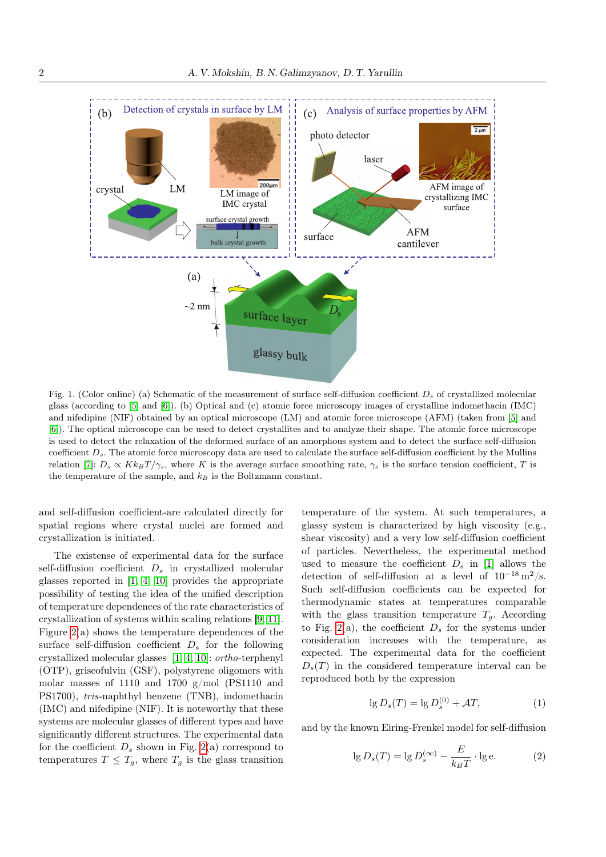

<span id="page-1-0"></span>Fig. 1. (Color online) (a) Schematic of the measurement of surface self-diffusion coefficient  $D_s$  of crystallized molecular glass (according to [\[5\]](#page-4-6) and [\[6\]](#page-4-7)). (b) Optical and (c) atomic force microscopy images of crystalline indomethacin (IMC) and nifedipine (NIF) obtained by an optical microscope (LM) and atomic force microscope (AFM) (taken from [\[5\]](#page-4-6) and [\[6\]](#page-4-7)). The optical microscope can be used to detect crystallites and to analyze their shape. The atomic force microscope is used to detect the relaxation of the deformed surface of an amorphous system and to detect the surface self-diffusion coefficient  $D_s$ . The atomic force microscopy data are used to calculate the surface self-diffusion coefficient by the Mullins relation [\[7\]](#page-4-8):  $D_s \propto K k_B T / \gamma_s$ , where K is the average surface smoothing rate,  $\gamma_s$  is the surface tension coefficient, T is the temperature of the sample, and  $k_B$  is the Boltzmann constant.

and self-diffusion coefficient-are calculated directly for spatial regions where crystal nuclei are formed and crystallization is initiated.

The existense of experimental data for the surface self-diffusion coefficient  $D_s$  in crystallized molecular glasses reported in [\[1,](#page-4-0) [4,](#page-4-3) [10\]](#page-4-9) provides the appropriate possibility of testing the idea of the unified description of temperature dependences of the rate characteristics of crystallization of systems within scaling relations [\[9,](#page-4-5) [11\]](#page-4-10). Figure [2\(](#page-2-0)a) shows the temperature dependences of the surface self-diffusion coefficient  $D<sub>s</sub>$  for the following crystallized molecular glasses [\[1,](#page-4-0) [4,](#page-4-3) [10\]](#page-4-9): ortho-terphenyl (OTP), griseofulvin (GSF), polystyrene oligomers with molar masses of 1110 and 1700 g/mol (PS1110 and PS1700), tris-naphthyl benzene (TNB), indomethacin (IMC) and nifedipine (NIF). It is noteworthy that these systems are molecular glasses of different types and have significantly different structures. The experimental data for the coefficient  $D_s$  shown in Fig. [2\(](#page-2-0)a) correspond to temperatures  $T \leq T_g$ , where  $T_g$  is the glass transition

temperature of the system. At such temperatures, a glassy system is characterized by high viscosity (e.g., shear viscosity) and a very low self-diffusion coefficient of particles. Nevertheless, the experimental method used to measure the coefficient  $D_s$  in [\[1\]](#page-4-0) allows the detection of self-diffusion at a level of  $10^{-18}$  m<sup>2</sup>/s. Such self-diffusion coefficients can be expected for thermodynamic states at temperatures comparable with the glass transition temperature  $T_g$ . According to Fig. [2\(](#page-2-0)a), the coefficient  $D_s$  for the systems under consideration increases with the temperature, as expected. The experimental data for the coefficient  $D_s(T)$  in the considered temperature interval can be reproduced both by the expression

<span id="page-1-1"></span>
$$
\lg D_s(T) = \lg D_s^{(0)} + \mathcal{A}T,\tag{1}
$$

and by the known Eiring-Frenkel model for self-diffusion

<span id="page-1-2"></span>
$$
\lg D_s(T) = \lg D_s^{(\infty)} - \frac{E}{k_B T} \cdot \lg e. \tag{2}
$$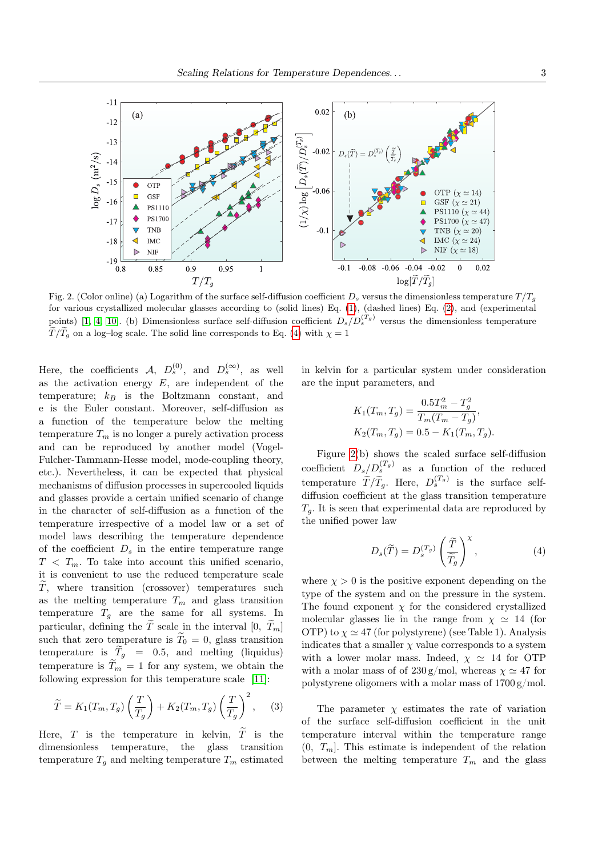

<span id="page-2-0"></span>Fig. 2. (Color online) (a) Logarithm of the surface self-diffusion coefficient  $D_s$  versus the dimensionless temperature  $T/T_a$ for various crystallized molecular glasses according to (solid lines) Eq. [\(1\)](#page-1-1), (dashed lines) Eq. [\(2\)](#page-1-2), and (experimental points) [\[1,](#page-4-0) [4,](#page-4-3) [10\]](#page-4-9). (b) Dimensionless surface self-diffusion coefficient  $D_s/D_s^{(T_g)}$  versus the dimensionless temperature  $\tilde{T}/\tilde{T}_g$  on a log–log scale. The solid line corresponds to Eq. [\(4\)](#page-2-1) with  $\chi = 1$ 

Here, the coefficients  $A, D_s^{(0)}$ , and  $D_s^{(\infty)}$ , as well as the activation energy  $E$ , are independent of the temperature;  $k_B$  is the Boltzmann constant, and e is the Euler constant. Moreover, self-diffusion as a function of the temperature below the melting temperature  $T_m$  is no longer a purely activation process and can be reproduced by another model (Vogel-Fulcher-Tammann-Hesse model, mode-coupling theory, etc.). Nevertheless, it can be expected that physical mechanisms of diffusion processes in supercooled liquids and glasses provide a certain unified scenario of change in the character of self-diffusion as a function of the temperature irrespective of a model law or a set of model laws describing the temperature dependence of the coefficient  $D_s$  in the entire temperature range  $T < T_m$ . To take into account this unified scenario, it is convenient to use the reduced temperature scale  $\widetilde{T}$ , where transition (crossover) temperatures such as the melting temperature  $T_m$  and glass transition temperature  $T<sub>g</sub>$  are the same for all systems. In particular, defining the  $\tilde{T}$  scale in the interval [0,  $\tilde{T}_m$ ] such that zero temperature is  $\tilde{T}_0 = 0$ , glass transition temperature is  $\widetilde{T}_q = 0.5$ , and melting (liquidus) temperature is  $\widetilde{T}_m = 1$  for any system, we obtain the following expression for this temperature scale [\[11\]](#page-4-10):

<span id="page-2-2"></span>
$$
\widetilde{T} = K_1(T_m, T_g) \left(\frac{T}{T_g}\right) + K_2(T_m, T_g) \left(\frac{T}{T_g}\right)^2, \quad (3)
$$

Here,  $T$  is the temperature in kelvin,  $\tilde{T}$  is the dimensionless temperature, the glass transition temperature  $T_g$  and melting temperature  $T_m$  estimated in kelvin for a particular system under consideration are the input parameters, and

<span id="page-2-1"></span>
$$
K_1(T_m, T_g) = \frac{0.5T_m^2 - T_g^2}{T_m(T_m - T_g)},
$$
  
\n
$$
K_2(T_m, T_g) = 0.5 - K_1(T_m, T_g).
$$

Figure [2\(](#page-2-0)b) shows the scaled surface self-diffusion coefficient  $D_s/D_s^{(T_g)}$  as a function of the reduced temperature  $\widetilde{T}/\widetilde{T}_g$ . Here,  $D_s^{(T_g)}$  is the surface selfdiffusion coefficient at the glass transition temperature  $T_a$ . It is seen that experimental data are reproduced by the unified power law

$$
D_s(\widetilde{T}) = D_s^{(T_g)} \left(\frac{\widetilde{T}}{\widetilde{T}_g}\right)^{\chi},\tag{4}
$$

where  $\chi > 0$  is the positive exponent depending on the type of the system and on the pressure in the system. The found exponent  $\chi$  for the considered crystallized molecular glasses lie in the range from  $\chi \simeq 14$  (for OTP) to  $\chi \simeq 47$  (for polystyrene) (see Table 1). Analysis indicates that a smaller  $\chi$  value corresponds to a system with a lower molar mass. Indeed,  $\chi \approx 14$  for OTP with a molar mass of of  $230 \text{ g/mol}$ , whereas  $\chi \simeq 47$  for polystyrene oligomers with a molar mass of 1700 g/mol.

The parameter  $\chi$  estimates the rate of variation of the surface self-diffusion coefficient in the unit temperature interval within the temperature range  $(0, T_m]$ . This estimate is independent of the relation between the melting temperature  $T_m$  and the glass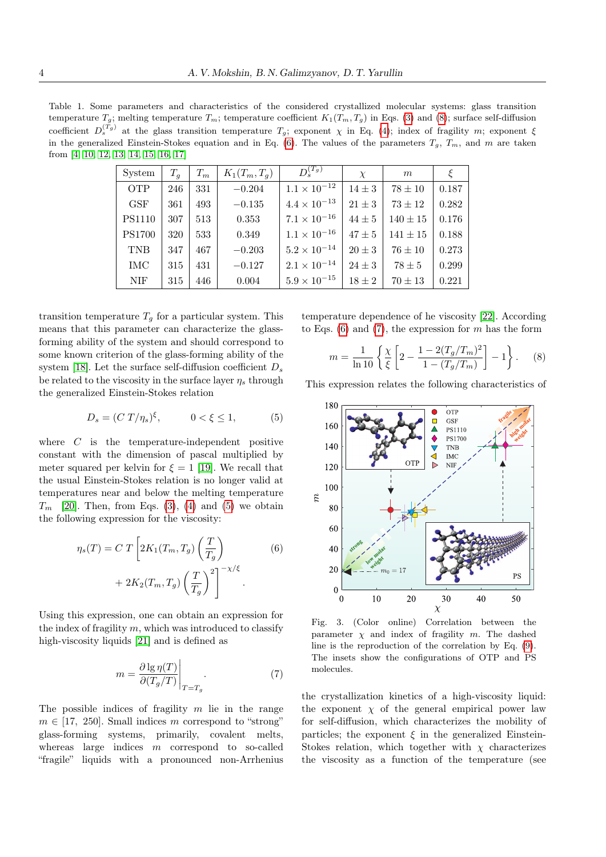Table 1. Some parameters and characteristics of the considered crystallized molecular systems: glass transition temperature  $T_g$ ; melting temperature  $T_m$ ; temperature coefficient  $K_1(T_m, T_g)$  in Eqs. [\(3\)](#page-2-2) and [\(8\)](#page-3-0); surface self-diffusion coefficient  $D_s^{(T_g)}$  at the glass transition temperature  $T_g$ ; exponent  $\chi$  in Eq. [\(4\)](#page-2-1); index of fragility m; exponent  $\xi$ in the generalized Einstein-Stokes equation and in Eq. [\(6\)](#page-3-1). The values of the parameters  $T_g$ ,  $T_m$ , and  $m$  are taken from [\[4,](#page-4-3) [10,](#page-4-9) [12,](#page-5-0) [13,](#page-5-1) [14,](#page-5-2) [15,](#page-5-3) [16,](#page-5-4) [17\]](#page-5-5)

| System               | $T_a$ | $T_m$ | $K_1(T_m, T_q)$ | $D_s^{(T_g)}$         | $\chi$     | m            |       |
|----------------------|-------|-------|-----------------|-----------------------|------------|--------------|-------|
| <b>OTP</b>           | 246   | 331   | $-0.204$        | $1.1 \times 10^{-12}$ | $14 \pm 3$ | $78 \pm 10$  | 0.187 |
| $\operatorname{GSF}$ | 361   | 493   | $-0.135$        | $4.4 \times 10^{-13}$ | $21 \pm 3$ | $73 \pm 12$  | 0.282 |
| <b>PS1110</b>        | 307   | 513   | 0.353           | $7.1 \times 10^{-16}$ | $44 \pm 5$ | $140 \pm 15$ | 0.176 |
| <b>PS1700</b>        | 320   | 533   | 0.349           | $1.1 \times 10^{-16}$ | $47 \pm 5$ | $141\pm15$   | 0.188 |
| <b>TNB</b>           | 347   | 467   | $-0.203$        | $5.2 \times 10^{-14}$ | $20 \pm 3$ | $76\pm10$    | 0.273 |
| <b>IMC</b>           | 315   | 431   | $-0.127$        | $2.1 \times 10^{-14}$ | $24 \pm 3$ | $78\pm5$     | 0.299 |
| NIF.                 | 315   | 446   | 0.004           | $5.9 \times 10^{-15}$ | $18 \pm 2$ | $70\pm13$    | 0.221 |

transition temperature  $T<sub>g</sub>$  for a particular system. This means that this parameter can characterize the glassforming ability of the system and should correspond to some known criterion of the glass-forming ability of the system [\[18\]](#page-5-6). Let the surface self-diffusion coefficient  $D_s$ be related to the viscosity in the surface layer  $\eta_s$  through the generalized Einstein-Stokes relation

<span id="page-3-2"></span>
$$
D_s = (C T/\eta_s)^{\xi}, \qquad 0 < \xi \le 1,\tag{5}
$$

where  $C$  is the temperature-independent positive constant with the dimension of pascal multiplied by meter squared per kelvin for  $\xi = 1$  [\[19\]](#page-5-7). We recall that the usual Einstein-Stokes relation is no longer valid at temperatures near and below the melting temperature  $T_m$  [\[20\]](#page-5-8). Then, from Eqs. [\(3\)](#page-2-2), [\(4\)](#page-2-1) and [\(5\)](#page-3-2) we obtain the following expression for the viscosity:

<span id="page-3-1"></span>
$$
\eta_s(T) = C T \left[ 2K_1(T_m, T_g) \left( \frac{T}{T_g} \right) + 2K_2(T_m, T_g) \left( \frac{T}{T_g} \right)^2 \right]^{-\chi/\xi}.
$$
\n(6)

Using this expression, one can obtain an expression for the index of fragility  $m$ , which was introduced to classify high-viscosity liquids [\[21\]](#page-5-9) and is defined as

<span id="page-3-3"></span>
$$
m = \frac{\partial \lg \eta(T)}{\partial (T_g/T)} \bigg|_{T=T_g}.
$$
\n(7)

The possible indices of fragility  $m$  lie in the range  $m \in [17, 250]$ . Small indices m correspond to "strong" glass-forming systems, primarily, covalent melts, whereas large indices  $m$  correspond to so-called "fragile" liquids with a pronounced non-Arrhenius temperature dependence of he viscosity [\[22\]](#page-5-10). According to Eqs. [\(6\)](#page-3-1) and [\(7\)](#page-3-3), the expression for  $m$  has the form

<span id="page-3-0"></span>
$$
m = \frac{1}{\ln 10} \left\{ \frac{\chi}{\xi} \left[ 2 - \frac{1 - 2(T_g/T_m)^2}{1 - (T_g/T_m)} \right] - 1 \right\}.
$$
 (8)

This expression relates the following characteristics of



<span id="page-3-4"></span>Fig. 3. (Color online) Correlation between the parameter  $\chi$  and index of fragility  $m$ . The dashed line is the reproduction of the correlation by Eq. [\(9\)](#page-4-11). The insets show the configurations of OTP and PS molecules.

the crystallization kinetics of a high-viscosity liquid: the exponent  $\chi$  of the general empirical power law for self-diffusion, which characterizes the mobility of particles; the exponent  $\xi$  in the generalized Einstein-Stokes relation, which together with  $\chi$  characterizes the viscosity as a function of the temperature (see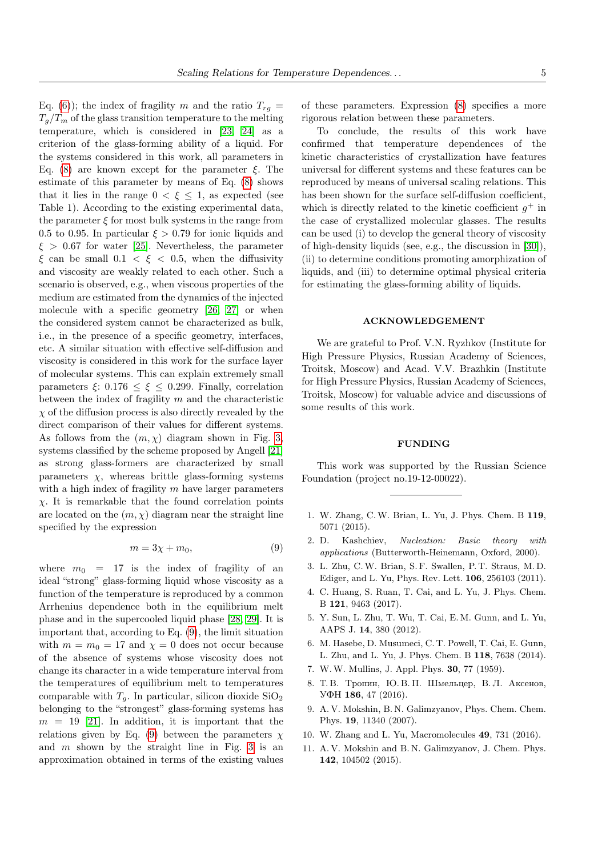Eq. [\(6\)](#page-3-1)); the index of fragility m and the ratio  $T_{rq} =$  $T_q/T_m$  of the glass transition temperature to the melting temperature, which is considered in [\[23,](#page-5-11) [24\]](#page-5-12) as a criterion of the glass-forming ability of a liquid. For the systems considered in this work, all parameters in Eq. [\(8\)](#page-3-0) are known except for the parameter  $\xi$ . The estimate of this parameter by means of Eq. [\(8\)](#page-3-0) shows that it lies in the range  $0 < \xi \leq 1$ , as expected (see Table 1). According to the existing experimental data, the parameter  $\xi$  for most bulk systems in the range from 0.5 to 0.95. In particular  $\xi > 0.79$  for ionic liquids and  $\xi > 0.67$  for water [\[25\]](#page-5-13). Nevertheless, the parameter  $\xi$  can be small  $0.1 < \xi < 0.5$ , when the diffusivity and viscosity are weakly related to each other. Such a scenario is observed, e.g., when viscous properties of the medium are estimated from the dynamics of the injected molecule with a specific geometry [\[26,](#page-5-14) [27\]](#page-5-15) or when the considered system cannot be characterized as bulk, i.e., in the presence of a specific geometry, interfaces, etc. A similar situation with effective self-diffusion and viscosity is considered in this work for the surface layer of molecular systems. This can explain extremely small parameters  $\xi$ : 0.176  $\leq \xi \leq$  0.299. Finally, correlation between the index of fragility  $m$  and the characteristic  $\chi$  of the diffusion process is also directly revealed by the direct comparison of their values for different systems. As follows from the  $(m, \chi)$  diagram shown in Fig. [3,](#page-3-4) systems classified by the scheme proposed by Angell [\[21\]](#page-5-9) as strong glass-formers are characterized by small parameters  $\chi$ , whereas brittle glass-forming systems with a high index of fragility  $m$  have larger parameters  $\chi$ . It is remarkable that the found correlation points are located on the  $(m, \chi)$  diagram near the straight line specified by the expression

<span id="page-4-11"></span>
$$
m = 3\chi + m_0,\tag{9}
$$

where  $m_0 = 17$  is the index of fragility of an ideal "strong" glass-forming liquid whose viscosity as a function of the temperature is reproduced by a common Arrhenius dependence both in the equilibrium melt phase and in the supercooled liquid phase [\[28,](#page-5-16) [29\]](#page-5-17). It is important that, according to Eq. [\(9\)](#page-4-11), the limit situation with  $m = m_0 = 17$  and  $\chi = 0$  does not occur because of the absence of systems whose viscosity does not change its character in a wide temperature interval from the temperatures of equilibrium melt to temperatures comparable with  $T_a$ . In particular, silicon dioxide  $\text{SiO}_2$ belonging to the "strongest" glass-forming systems has  $m = 19$  [\[21\]](#page-5-9). In addition, it is important that the relations given by Eq. [\(9\)](#page-4-11) between the parameters  $\chi$ and  $m$  shown by the straight line in Fig. [3](#page-3-4) is an approximation obtained in terms of the existing values

of these parameters. Expression [\(8\)](#page-3-0) specifies a more rigorous relation between these parameters.

To conclude, the results of this work have confirmed that temperature dependences of the kinetic characteristics of crystallization have features universal for different systems and these features can be reproduced by means of universal scaling relations. This has been shown for the surface self-diffusion coefficient, which is directly related to the kinetic coefficient  $g^+$  in the case of crystallized molecular glasses. The results can be used (i) to develop the general theory of viscosity of high-density liquids (see, e.g., the discussion in [\[30\]](#page-5-18)), (ii) to determine conditions promoting amorphization of liquids, and (iii) to determine optimal physical criteria for estimating the glass-forming ability of liquids.

## ACKNOWLEDGEMENT

We are grateful to Prof. V.N. Ryzhkov (Institute for High Pressure Physics, Russian Academy of Sciences, Troitsk, Moscow) and Acad. V.V. Brazhkin (Institute for High Pressure Physics, Russian Academy of Sciences, Troitsk, Moscow) for valuable advice and discussions of some results of this work.

## FUNDING

This work was supported by the Russian Science Foundation (project no.19-12-00022).

- <span id="page-4-0"></span>1. W. Zhang, C.W. Brian, L. Yu, J. Phys. Chem. B 119, 5071 (2015).
- <span id="page-4-1"></span>2. D. Kashchiev, Nucleation: Basic theory with applications (Butterworth-Heinemann, Oxford, 2000).
- <span id="page-4-2"></span>3. L. Zhu, C.W. Brian, S. F. Swallen, P. T. Straus, M. D. Ediger, and L. Yu, Phys. Rev. Lett. 106, 256103 (2011).
- <span id="page-4-3"></span>4. C. Huang, S. Ruan, T. Cai, and L. Yu, J. Phys. Chem. B 121, 9463 (2017).
- <span id="page-4-6"></span>5. Y. Sun, L. Zhu, T. Wu, T. Cai, E. M. Gunn, and L. Yu, AAPS J. 14, 380 (2012).
- <span id="page-4-7"></span>6. M. Hasebe, D. Musumeci, C. T. Powell, T. Cai, E. Gunn, L. Zhu, and L. Yu, J. Phys. Chem. B 118, 7638 (2014).
- <span id="page-4-8"></span><span id="page-4-4"></span>7. W.W. Mullins, J. Appl. Phys. 30, 77 (1959).
- 8. Т. В. Тропин, Ю. В. П. Шмельцер, В. Л. Аксенов, УФН 186, 47 (2016).
- <span id="page-4-5"></span>9. A. V. Mokshin, B. N. Galimzyanov, Phys. Chem. Chem. Phys. 19, 11340 (2007).
- <span id="page-4-10"></span><span id="page-4-9"></span>10. W. Zhang and L. Yu, Macromolecules 49, 731 (2016).
- 11. A. V. Mokshin and B. N. Galimzyanov, J. Chem. Phys. 142, 104502 (2015).